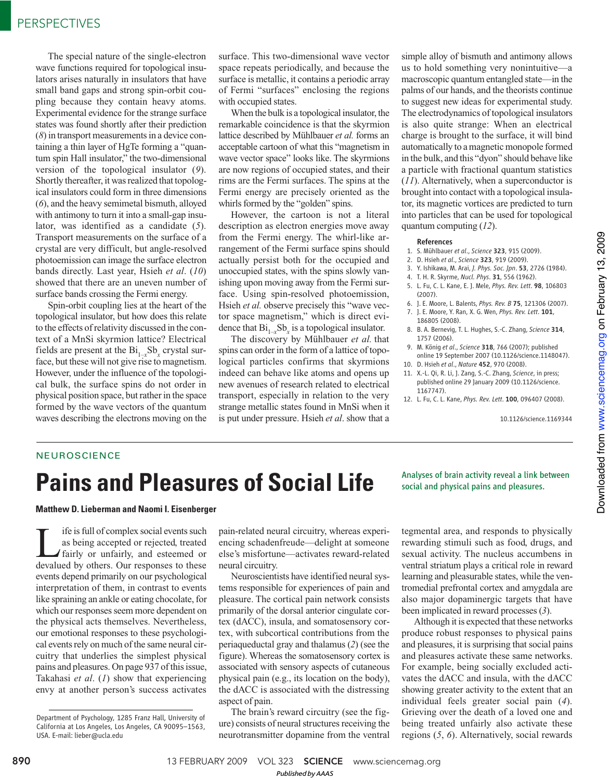The special nature of the single-electron wave functions required for topological insulators arises naturally in insulators that have small band gaps and strong spin-orbit coupling because they contain heavy atoms. Experimental evidence for the strange surface states was found shortly after their prediction (*8*) in transport measurements in a device containing a thin layer of HgTe forming a "quantum spin Hall insulator," the two-dimensional version of the topological insulator (*9*). Shortly thereafter, it was realized that topological insulators could form in three dimensions (*6*), and the heavy semimetal bismuth, alloyed with antimony to turn it into a small-gap insulator, was identified as a candidate (*5*). Transport measurements on the surface of a crystal are very difficult, but angle-resolved photoemission can image the surface electron bands directly. Last year, Hsieh *et al*. (*10*) showed that there are an uneven number of surface bands crossing the Fermi energy.

Spin-orbit coupling lies at the heart of the topological insulator, but how does this relate to the effects of relativity discussed in the context of a MnSi skyrmion lattice? Electrical fields are present at the  $Bi_{1-x}Sb_x$  crystal surface, but these will not give rise to magnetism. However, under the influence of the topological bulk, the surface spins do not order in physical position space, but rather in the space formed by the wave vectors of the quantum waves describing the electrons moving on the

surface. This two-dimensional wave vector space repeats periodically, and because the surface is metallic, it contains a periodic array of Fermi "surfaces" enclosing the regions with occupied states.

When the bulk is a topological insulator, the remarkable coincidence is that the skyrmion lattice described by Mühlbauer *et al.* forms an acceptable cartoon of what this "magnetism in wave vector space" looks like. The skyrmions are now regions of occupied states, and their rims are the Fermi surfaces. The spins at the Fermi energy are precisely oriented as the whirls formed by the "golden" spins.

However, the cartoon is not a literal description as electron energies move away from the Fermi energy. The whirl-like arrangement of the Fermi surface spins should actually persist both for the occupied and unoccupied states, with the spins slowly vanishing upon moving away from the Fermi surface. Using spin-resolved photoemission, Hsieh *et al.* observe precisely this "wave vector space magnetism," which is direct evidence that  $\text{Bi}_{1-x}\text{Sb}_x$  is a topological insulator.

The discovery by Mühlbauer *et al.* that spins can order in the form of a lattice of topological particles confirms that skyrmions indeed can behave like atoms and opens up new avenues of research related to electrical transport, especially in relation to the very strange metallic states found in MnSi when it is put under pressure. Hsieh *et al*. show that a

simple alloy of bismuth and antimony allows us to hold something very nonintuitive—a macroscopic quantum entangled state—in the palms of our hands, and the theorists continue to suggest new ideas for experimental study. The electrodynamics of topological insulators is also quite strange: When an electrical charge is brought to the surface, it will bind automatically to a magnetic monopole formed in the bulk, and this "dyon" should behave like a particle with fractional quantum statistics (*11*). Alternatively, when a superconductor is brought into contact with a topological insulator, its magnetic vortices are predicted to turn into particles that can be used for topological quantum computing (*12*).

### References

- 1. S. Mühlbauer *et al*., *Science* 323, 915 (2009).
- 2. D. Hsieh *et al*., *Science* 323, 919 (2009).
- 3. Y. Ishikawa, M. Arai, *J. Phys. Soc. Jpn*. 53, 2726 (1984).
- 4. T. H. R. Skyrme, *Nucl. Phys*. 31, 556 (1962).
- 5. L. Fu, C. L. Kane, E. J. Mele, *Phys. Rev. Lett*. 98, 106803 (2007).
- 6. J. E. Moore, L. Balents, *Phys. Rev. B* 75, 121306 (2007).
- 7. J. E. Moore, Y. Ran, X. G. Wen, *Phys. Rev. Lett*. 101,
- 186805 (2008). 8. B. A. Bernevig, T. L. Hughes, S.-C. Zhang, *Science* 314, 1757 (2006).
- 9. M. König *et al*., *Science* 318, 766 (2007); published online 19 September 2007 (10.1126/science.1148047).
- 10. D. Hsieh *et al*., *Nature* 452, 970 (2008).
- 11. X.-L. Qi, R. Li, J. Zang, S.-C. Zhang, *Science*, in press; published online 29 January 2009 (10.1126/science. 1167747).
- 12. L. Fu, C. L. Kane, *Phys. Rev. Lett*. 100, 096407 (2008).

10.1126/science.1169344

## **NEUROSCIENCE**

# **Pains and Pleasures of Social Life** sof brain activity reveal a link between

### **Matthew D. Lieberman and Naomi I. Eisenberger**

If if is full of complex social events such<br>as being accepted or rejected, treated<br>fairly or unfairly, and esteemed or<br>devalued by others. Our responses to these as being accepted or rejected, treated devalued by others. Our responses to these events depend primarily on our psychological interpretation of them, in contrast to events like spraining an ankle or eating chocolate, for which our responses seem more dependent on the physical acts themselves. Nevertheless, our emotional responses to these psychological events rely on much of the same neural circuitry that underlies the simplest physical pains and pleasures. On page 937 of this issue, Takahasi *et al*. (*1*) show that experiencing envy at another person's success activates

pain-related neural circuitry, whereas experiencing schadenfreude—delight at someone else's misfortune—activates reward-related neural circuitry.

Neuroscientists have identified neural systems responsible for experiences of pain and pleasure. The cortical pain network consists primarily of the dorsal anterior cingulate cortex (dACC), insula, and somatosensory cortex, with subcortical contributions from the periaqueductal gray and thalamus (*2*) (see the figure). Whereas the somatosensory cortex is associated with sensory aspects of cutaneous physical pain (e.g., its location on the body), the dACC is associated with the distressing aspect of pain.

The brain's reward circuitry (see the figure) consists of neural structures receiving the neurotransmitter dopamine from the ventral

tegmental area, and responds to physically rewarding stimuli such as food, drugs, and sexual activity. The nucleus accumbens in ventral striatum plays a critical role in reward learning and pleasurable states, while the ventromedial prefrontal cortex and amygdala are also major dopaminergic targets that have been implicated in reward processes (*3*).

Although it is expected that these networks produce robust responses to physical pains and pleasures, it is surprising that social pains and pleasures activate these same networks. For example, being socially excluded activates the dACC and insula, with the dACC showing greater activity to the extent that an individual feels greater social pain (*4*). Grieving over the death of a loved one and being treated unfairly also activate these regions (*5*, *6*). Alternatively, social rewards

*Published byAAAS*

Department of Psychology, 1285 Franz Hall, University of California at Los Angeles, Los Angeles, CA 90095–1563, USA. E-mail: lieber@ucla.edu